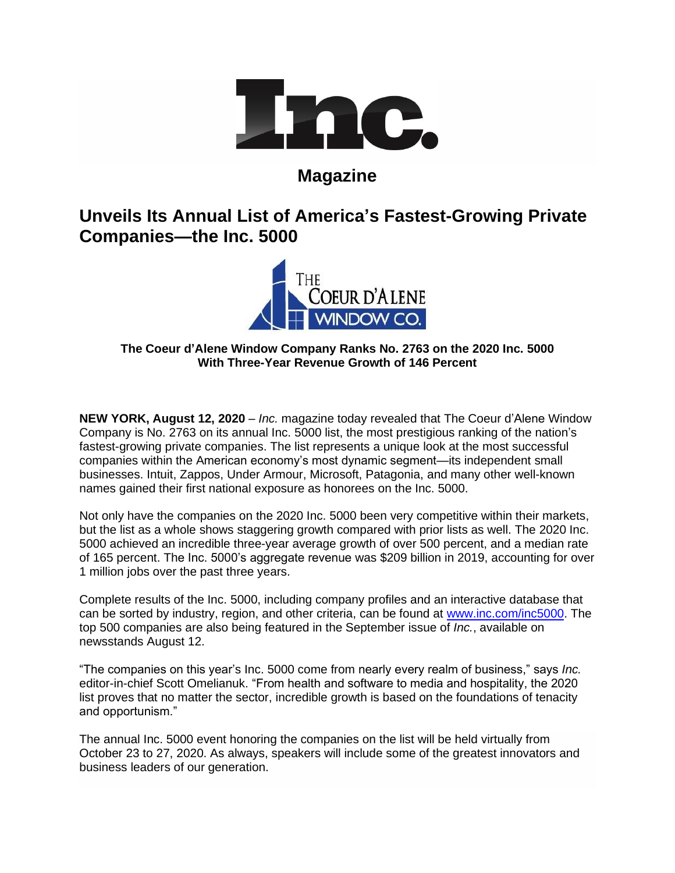

# **Magazine**

# **Unveils Its Annual List of America's Fastest-Growing Private Companies—the Inc. 5000**



# **The Coeur d'Alene Window Company Ranks No. 2763 on the 2020 Inc. 5000 With Three-Year Revenue Growth of 146 Percent**

**NEW YORK, August 12, 2020** – *Inc.* magazine today revealed that The Coeur d'Alene Window Company is No. 2763 on its annual Inc. 5000 list, the most prestigious ranking of the nation's fastest-growing private companies. The list represents a unique look at the most successful companies within the American economy's most dynamic segment—its independent small businesses. Intuit, Zappos, Under Armour, Microsoft, Patagonia, and many other well-known names gained their first national exposure as honorees on the Inc. 5000.

Not only have the companies on the 2020 Inc. 5000 been very competitive within their markets, but the list as a whole shows staggering growth compared with prior lists as well. The 2020 Inc. 5000 achieved an incredible three-year average growth of over 500 percent, and a median rate of 165 percent. The Inc. 5000's aggregate revenue was \$209 billion in 2019, accounting for over 1 million jobs over the past three years.

Complete results of the Inc. 5000, including company profiles and an interactive database that can be sorted by industry, region, and other criteria, can be found at [www.inc.com/inc5000.](http://www.inc.com/inc5000) The top 500 companies are also being featured in the September issue of *Inc.*, available on newsstands August 12.

"The companies on this year's Inc. 5000 come from nearly every realm of business," says *Inc.* editor-in-chief Scott Omelianuk. "From health and software to media and hospitality, the 2020 list proves that no matter the sector, incredible growth is based on the foundations of tenacity and opportunism."

The annual Inc. 5000 event honoring the companies on the list will be held virtually from October 23 to 27, 2020. As always, speakers will include some of the greatest innovators and business leaders of our generation.